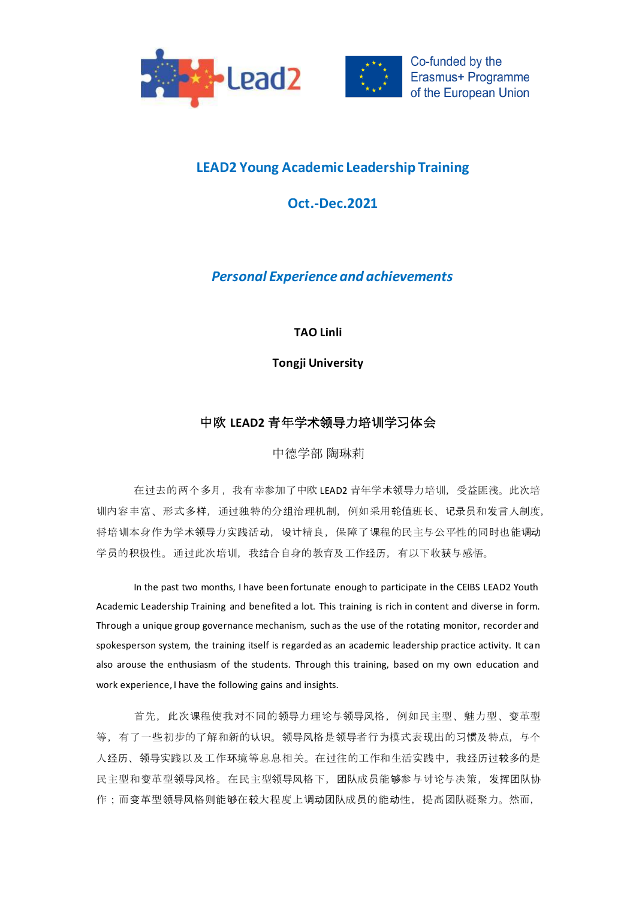



## **LEAD2 Young Academic Leadership Training**

## **Oct.-Dec.2021**

*Personal Experience and achievements*

**TAO Linli**

**Tongji University**

## 中欧 **LEAD2** 青年学术领导力培训学习体会

中德学部 陶琳莉

在过去的两个多月,我有幸参加了中欧 LEAD2 青年学术领导力培训,受益匪浅。此次培 训内容丰富、形式多样,通过独特的分组治理机制,例如采用轮值班长、记录员和发言人制度, 将培训本身作为学术领导力实践活动,设计精良,保障了课程的民主与公平性的同时也能调动 学员的积极性。通过此次培训,我结合自身的教育及工作经历,有以下收获与感悟。

In the past two months, I have been fortunate enough to participate in the CEIBS LEAD2 Youth Academic Leadership Training and benefited a lot. This training is rich in content and diverse in form. Through a unique group governance mechanism, such as the use of the rotating monitor, recorder and spokesperson system, the training itself is regarded as an academic leadership practice activity. It can also arouse the enthusiasm of the students. Through this training, based on my own education and work experience, I have the following gains and insights.

首先,此次课程使我对不同的领导力理论与领导风格,例如民主型、魅力型、变革型 等,有了一些初步的了解和新的认识。领导风格是领导者行为模式表现出的习惯及特点,与个 人经历、领导实践以及工作环境等息息相关。在过往的工作和生活实践中,我经历过较多的是 民主型和变革型领导风格。在民主型领导风格下,团队成员能够参与讨论与决策,发挥团队协 作;而变革型领导风格则能够在较大程度上调动团队成员的能动性,提高团队凝聚力。然而,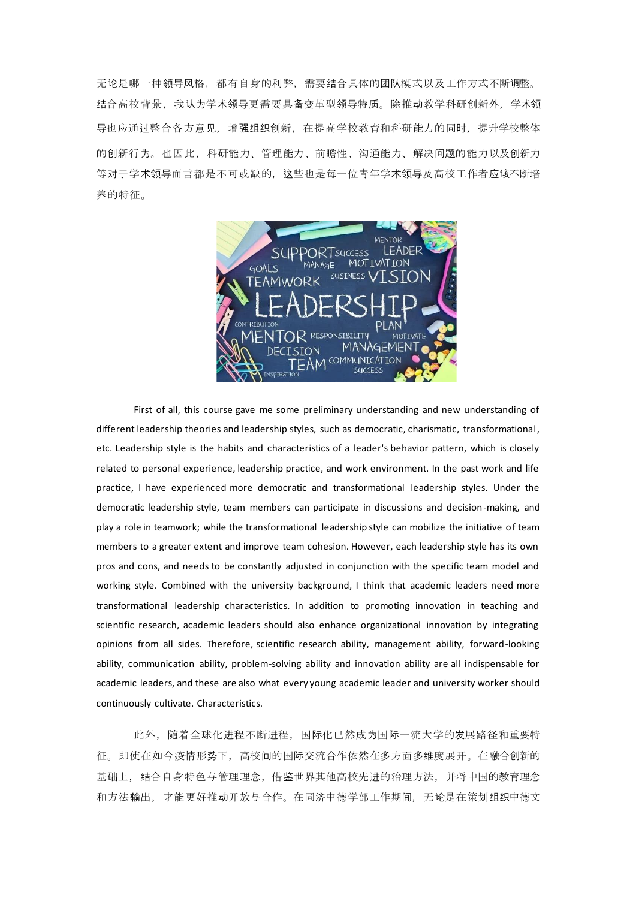无论是哪一种领导风格,都有自身的利弊,需要结合具体的团队模式以及工作方式不断调整。 结合高校背景,我认为学术领导更需要具备变革型领导特质。除推动教学科研创新外,学术领 导也应通过整合各方意见,增强组织创新,在提高学校教育和科研能力的同时,提升学校整体 的创新行为。也因此,科研能力、管理能力、前瞻性、沟通能力、解决问题的能力以及创新力 等对于学术领导而言都是不可或缺的,这些也是每一位青年学术领导及高校工作者应该不断培 养的特征。



First of all, this course gave me some preliminary understanding and new understanding of different leadership theories and leadership styles, such as democratic, charismatic, transformational, etc. Leadership style is the habits and characteristics of a leader's behavior pattern, which is closely related to personal experience, leadership practice, and work environment. In the past work and life practice, I have experienced more democratic and transformational leadership styles. Under the democratic leadership style, team members can participate in discussions and decision-making, and play a role in teamwork; while the transformational leadership style can mobilize the initiative of team members to a greater extent and improve team cohesion. However, each leadership style has its own pros and cons, and needs to be constantly adjusted in conjunction with the specific team model and working style. Combined with the university background, I think that academic leaders need more transformational leadership characteristics. In addition to promoting innovation in teaching and scientific research, academic leaders should also enhance organizational innovation by integrating opinions from all sides. Therefore, scientific research ability, management ability, forward-looking ability, communication ability, problem-solving ability and innovation ability are all indispensable for academic leaders, and these are also what every young academic leader and university worker should continuously cultivate. Characteristics.

此外,随着全球化进程不断进程,国际化已然成为国际一流大学的发展路径和重要特 征。即使在如今疫情形势下,高校间的国际交流合作依然在多方面多维度展开。在融合创新的 基础上,结合自身特色与管理理念,借鉴世界其他高校先进的治理方法,并将中国的教育理念 和方法输出,才能更好推动开放与合作。在同济中德学部工作期间,无论是在策划组织中德文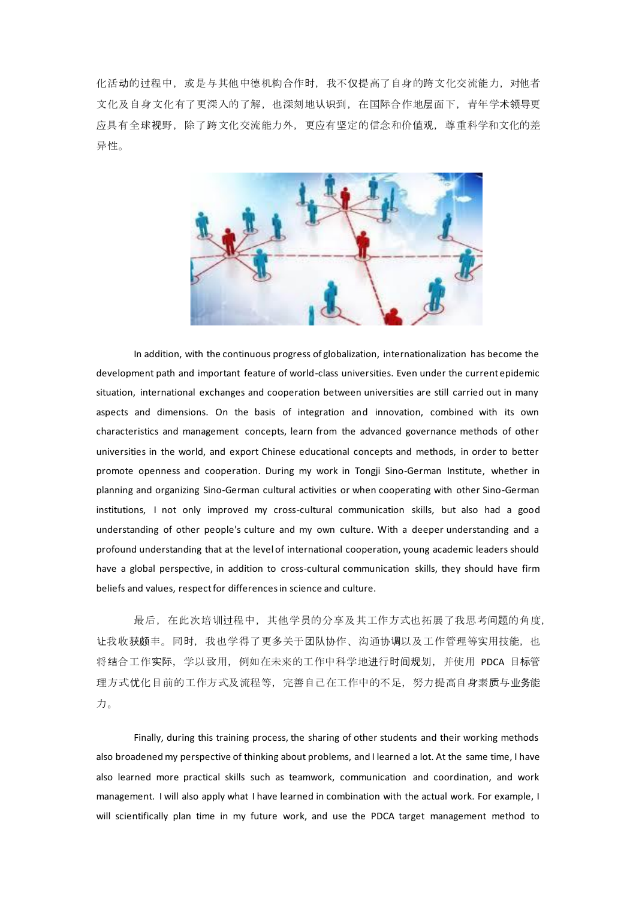化活动的过程中,或是与其他中德机构合作时,我不仅提高了自身的跨文化交流能力,对他者 文化及自身文化有了更深入的了解,也深刻地认识到,在国际合作地层面下,青年学术领导更 应具有全球视野,除了跨文化交流能力外,更应有坚定的信念和价值观,尊重科学和文化的差 异性。



In addition, with the continuous progress of globalization, internationalization has become the development path and important feature of world-class universities. Even under the current epidemic situation, international exchanges and cooperation between universities are still carried out in many aspects and dimensions. On the basis of integration and innovation, combined with its own characteristics and management concepts, learn from the advanced governance methods of other universities in the world, and export Chinese educational concepts and methods, in order to better promote openness and cooperation. During my work in Tongji Sino-German Institute, whether in planning and organizing Sino-German cultural activities or when cooperating with other Sino-German institutions, I not only improved my cross-cultural communication skills, but also had a good understanding of other people's culture and my own culture. With a deeper understanding and a profound understanding that at the level of international cooperation, young academic leaders should have a global perspective, in addition to cross-cultural communication skills, they should have firm beliefs and values, respect for differences in science and culture.

最后,在此次培训过程中,其他学员的分享及其工作方式也拓展了我思考问题的角度, 让我收获颇丰。同时,我也学得了更多关于团队协作、沟通协调以及工作管理等实用技能,也 将结合工作实际,学以致用,例如在未来的工作中科学地进行时间规划,并使用 PDCA 目标管 理方式优化目前的工作方式及流程等,完善自己在工作中的不足,努力提高自身素质与业务能 力。

Finally, during this training process, the sharing of other students and their working methods also broadened my perspective of thinking about problems, and I learned a lot. At the same time, I have also learned more practical skills such as teamwork, communication and coordination, and work management. I will also apply what I have learned in combination with the actual work. For example, I will scientifically plan time in my future work, and use the PDCA target management method to